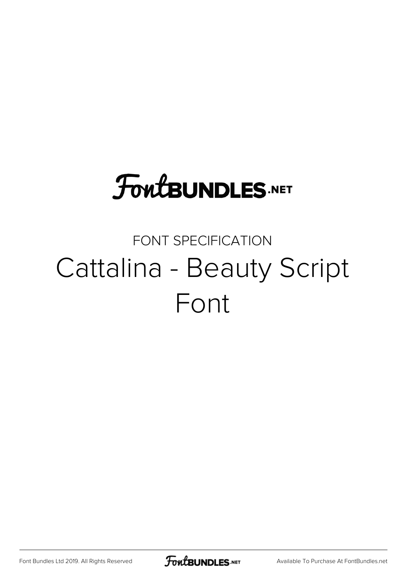## **FoutBUNDLES.NET**

### FONT SPECIFICATION Cattalina - Beauty Script Font

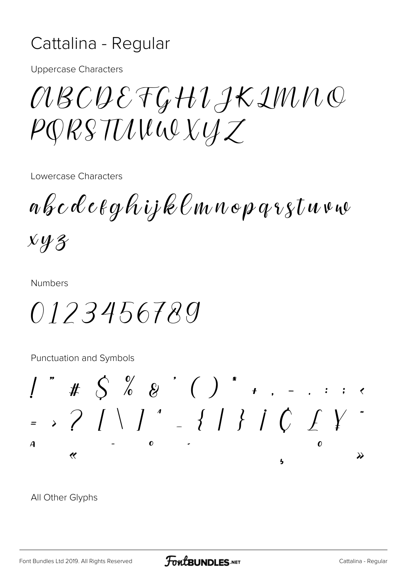#### Cattalina - Regular

**Uppercase Characters** 

*OBCQEFGHIJKIMNQ*  $PQRSTULWQXYZ$ 

Lowercase Characters

abcdeeghijklmnopqrstuvw

 $x y z$ 

**Numbers** 

0123456789

Punctuation and Symbols

= >  $?$   $\left[\begin{array}{c} 2 \\ 1 \end{array}\right]$   $\left[\begin{array}{c} 1 \\ 1 \end{array}\right]$   $\left[\begin{array}{c} 1 \\ 1 \end{array}\right]$   $\left[\begin{array}{c} 1 \\ 1 \end{array}\right]$   $\left[\begin{array}{c} 1 \\ 1 \end{array}\right]$  $\boldsymbol{A}$  $\boldsymbol{0}$  $\overline{\mathscr{C}}$  $\lambda$ 1,

All Other Glyphs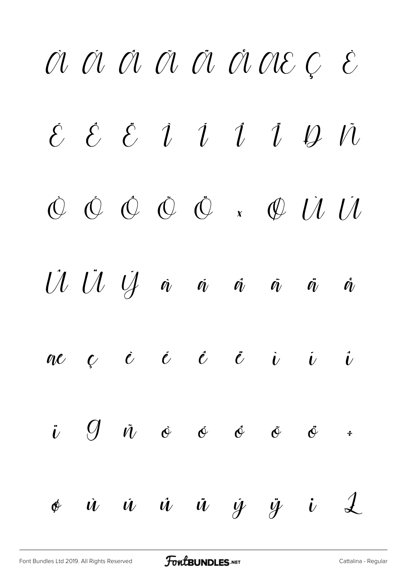# À Á Â Ã Ä Å Æ Ç È  $\acute{\epsilon}$   $\acute{\epsilon}$   $\acute{\iota}$   $\acute{\iota}$   $\acute{\iota}$   $\acute{\iota}$   $\acute{\iota}$   $\acute{\iota}$   $\acute{\iota}$   $\acute{\iota}$ Ò Ó Ô Õ Ö × Ø Ù Ú  $U U U A \dot{A} \dot{a} \dot{a} \dot{a} \dot{a} \dot{a}$ æ ç è é ê ë ì í î  $\dot{\iota}$   $\theta$   $\dot{\iota}$   $\dot{\theta}$   $\dot{\theta}$   $\dot{\theta}$   $\ddot{\theta}$   $\dot{\theta}$   $\dot{\theta}$  $\phi$  ù  $\dot{u}$  ù  $\dot{u}$   $\dot{y}$   $\dot{y}$   $\dot{u}$   $\dot{\mathcal{L}}$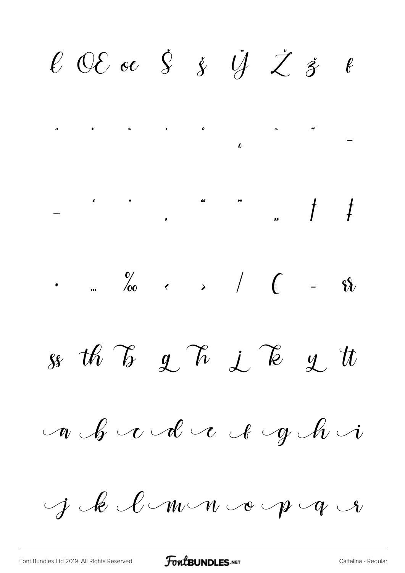$\ell$  OE oe  $\dot{S}$   $\dot{y}$   $\ddot{U}$   $\dot{Z}$   $\dot{s}$   $\ell$ so the To get  $\lambda$  if  $\lambda$  y the  $n \mathcal{L} \cup \mathcal{C}$  and  $n \mathcal{L} \cup \mathcal{C}$ j le l'mon op q e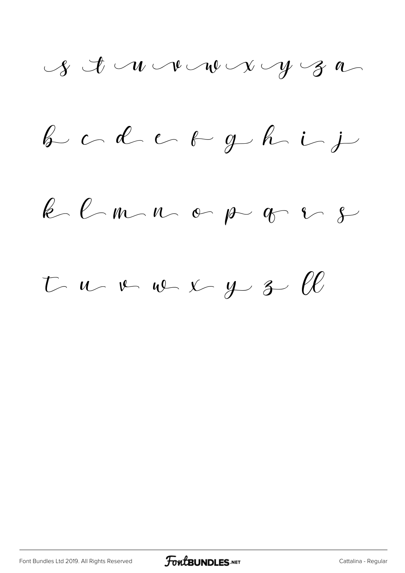b c d e  $\epsilon$  ph i

 $k$   $l$   $m$   $n$   $e$   $p$   $q$   $s$ 

 $t$  u v v  $\sim$  y 3  $\ell\ell$ 

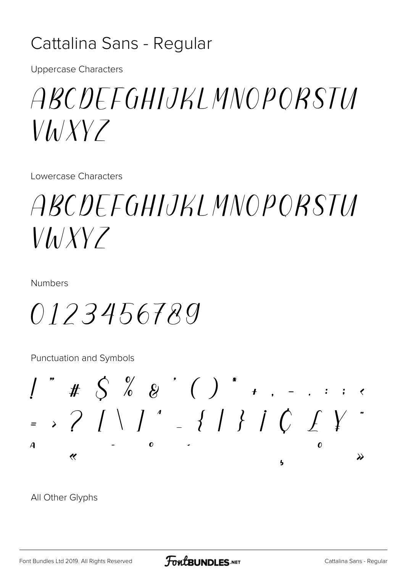#### Cattalina Sans - Regular

**Uppercase Characters** 

### *ABCDEEGHIJKI MNOPORSTU*  $V/\lambda$

Lowercase Characters

## *ABCDEEGHIJKLMNOPORSTU*  $V h/XYZ$

**Numbers** 

0123456789

Punctuation and Symbols



All Other Glyphs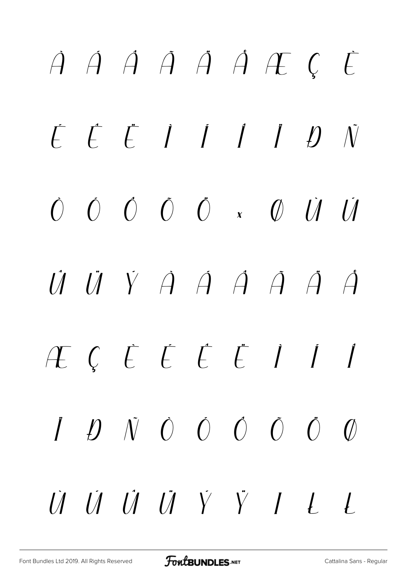## À Á Â Ã Ä Å Æ Ç È É Ê Ë Ì Í Î Ï Ð Ñ Ò Ó Ô Õ Ö × Ø Ù Ú  $\dot{U}$   $\dot{U}$   $\dot{V}$   $\dot{A}$   $\dot{A}$   $\dot{A}$   $\dot{A}$   $\dot{A}$ æ ç è é ê ë ì í î  $\ddot{I}$   $\ddot{D}$   $\ddot{N}$   $\dot{O}$   $\dot{O}$   $\ddot{O}$   $\ddot{O}$   $\ddot{O}$  $\dot{U}$   $\dot{U}$   $\dot{U}$   $\dot{V}$   $\ddot{V}$   $I$   $L$   $L$